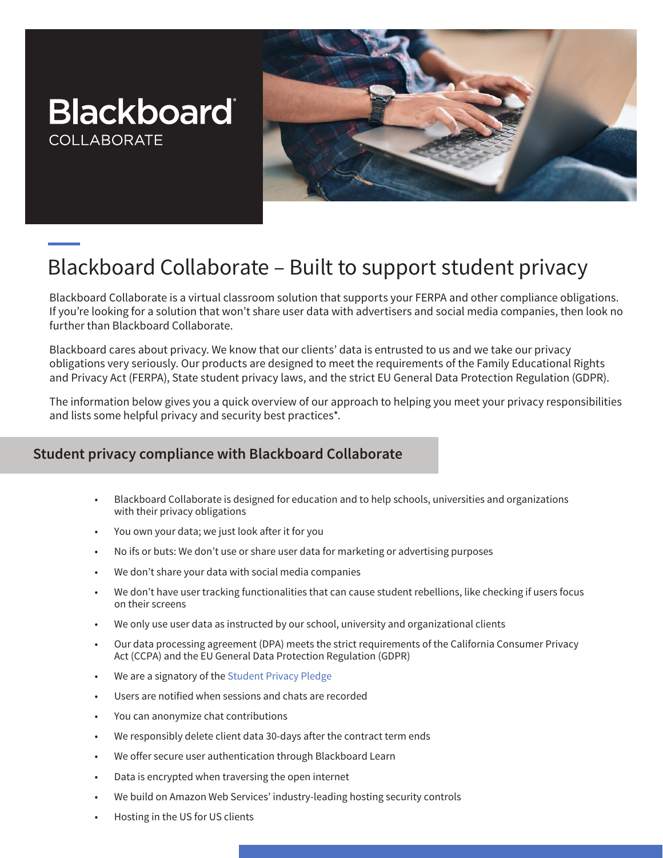## **Blackboard COLLABORATE**



# Blackboard Collaborate – Built to support student privacy

Blackboard Collaborate is a virtual classroom solution that supports your FERPA and other compliance obligations. If you're looking for a solution that won't share user data with advertisers and social media companies, then look no further than Blackboard Collaborate.

Blackboard cares about privacy. We know that our clients' data is entrusted to us and we take our privacy obligations very seriously. Our products are designed to meet the requirements of the Family Educational Rights and Privacy Act (FERPA), State student privacy laws, and the strict EU General Data Protection Regulation (GDPR).

The information below gives you a quick overview of our approach to helping you meet your privacy responsibilities and lists some helpful privacy and security best practices\*.

### **Student privacy compliance with Blackboard Collaborate**

- Blackboard Collaborate is designed for education and to help schools, universities and organizations with their privacy obligations
- You own your data; we just look after it for you
- No ifs or buts: We don't use or share user data for marketing or advertising purposes
- We don't share your data with social media companies
- We don't have user tracking functionalities that can cause student rebellions, like checking if users focus on their screens
- We only use user data as instructed by our school, university and organizational clients
- Our data processing agreement (DPA) meets the strict requirements of the California Consumer Privacy Act (CCPA) and the EU General Data Protection Regulation (GDPR)
- We are a signatory of the [Student Privacy Pledge](https://studentprivacypledge.org/privacy-pledge/)
- Users are notified when sessions and chats are recorded
- You can anonymize chat contributions
- We responsibly delete client data 30-days after the contract term ends
- We offer secure user authentication through Blackboard Learn
- Data is encrypted when traversing the open internet
- We build on Amazon Web Services' industry-leading hosting security controls
- Hosting in the US for US clients